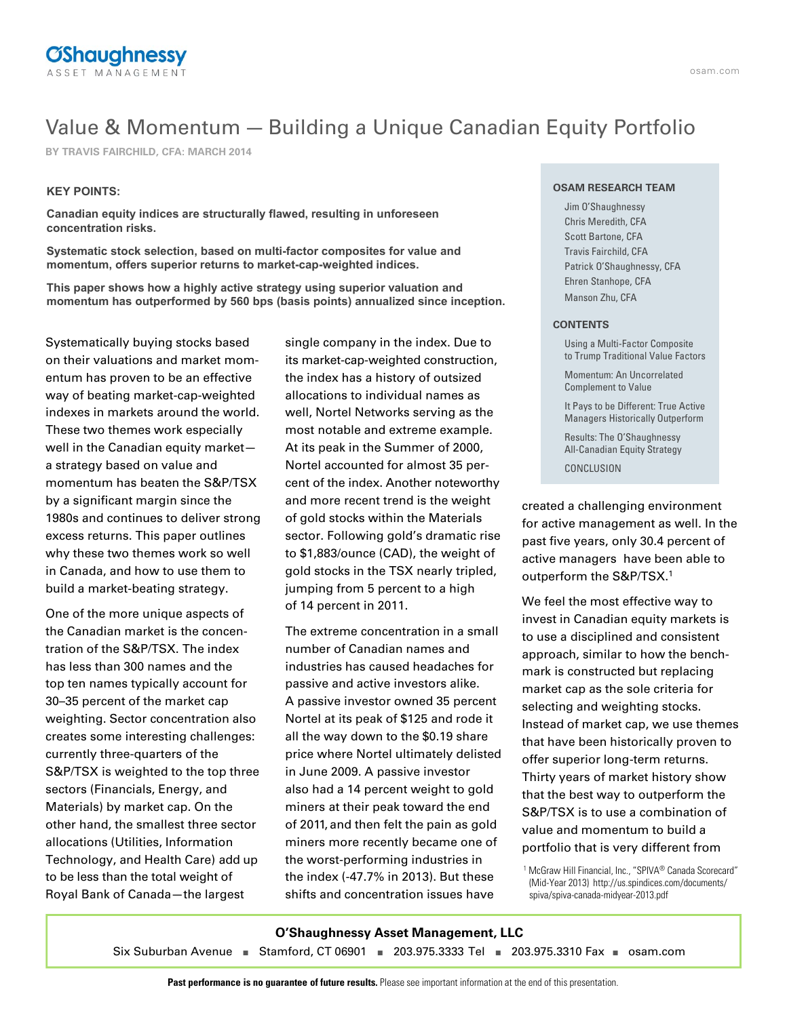

## Value & Momentum — Building a Unique Canadian Equity Portfolio

**BY TRAVIS FAIRCHILD, CFA: MARCH 2014**

### **KEY POINTS:**

**Canadian equity indices are structurally flawed, resulting in unforeseen concentration risks.**

**Systematic stock selection, based on multi-factor composites for value and momentum, offers superior returns to market-cap-weighted indices.**

**This paper shows how a highly active strategy using superior valuation and momentum has outperformed by 560 bps (basis points) annualized since inception.**

Systematically buying stocks based on their valuations and market momentum has proven to be an effective way of beating market-cap-weighted indexes in markets around the world. These two themes work especially well in the Canadian equity market a strategy based on value and momentum has beaten the S&P/TSX by a significant margin since the 1980s and continues to deliver strong excess returns. This paper outlines why these two themes work so well in Canada, and how to use them to build a market-beating strategy.

One of the more unique aspects of the Canadian market is the concentration of the S&P/TSX. The index has less than 300 names and the top ten names typically account for 30–35 percent of the market cap weighting. Sector concentration also creates some interesting challenges: currently three-quarters of the S&P/TSX is weighted to the top three sectors (Financials, Energy, and Materials) by market cap. On the other hand, the smallest three sector allocations (Utilities, Information Technology, and Health Care) add up to be less than the total weight of Royal Bank of Canada—the largest

single company in the index. Due to its market-cap-weighted construction, the index has a history of outsized allocations to individual names as well, Nortel Networks serving as the most notable and extreme example. At its peak in the Summer of 2000, Nortel accounted for almost 35 percent of the index. Another noteworthy and more recent trend is the weight of gold stocks within the Materials sector. Following gold's dramatic rise to \$1,883/ounce (CAD), the weight of gold stocks in the TSX nearly tripled, jumping from 5 percent to a high of 14 percent in 2011.

The extreme concentration in a small number of Canadian names and industries has caused headaches for passive and active investors alike. A passive investor owned 35 percent Nortel at its peak of \$125 and rode it all the way down to the \$0.19 share price where Nortel ultimately delisted in June 2009. A passive investor also had a 14 percent weight to gold miners at their peak toward the end of 2011, and then felt the pain as gold miners more recently became one of the worst-performing industries in the index (-47.7% in 2013). But these shifts and concentration issues have

#### **OSAM RESEARCH TEAM**

Jim O'Shaughnessy Chris Meredith, CFA Scott Bartone, CFA Travis Fairchild, CFA Patrick O'Shaughnessy, CFA Ehren Stanhope, CFA Manson Zhu, CFA

#### **CONTENTS**

Using a Multi-Factor Composite to Trump Traditional Value Factors

Momentum: An Uncorrelated Complement to Value

It Pays to be Different: True Active Managers Historically Outperform

Results: The O'Shaughnessy All-Canadian Equity Strategy CONCLUSION

created a challenging environment for active management as well. In the past five years, only 30.4 percent of active managers have been able to outperform the S&P/TSX.1

We feel the most effective way to invest in Canadian equity markets is to use a disciplined and consistent approach, similar to how the benchmark is constructed but replacing market cap as the sole criteria for selecting and weighting stocks. Instead of market cap, we use themes that have been historically proven to offer superior long-term returns. Thirty years of market history show that the best way to outperform the S&P/TSX is to use a combination of value and momentum to build a portfolio that is very different from

<sup>1</sup> McGraw Hill Financial, Inc., "SPIVA<sup>®</sup> Canada Scorecard" (Mid-Year 2013) http://us.spindices.com/documents/ spiva/spiva-canada-midyear-2013.pdf

## **O'Shaughnessy Asset Management, LLC**

Six Suburban Avenue **■** Stamford, CT 06901 **■** 203.975.3333 Tel **■** 203.975.3310 Fax **■** osam.com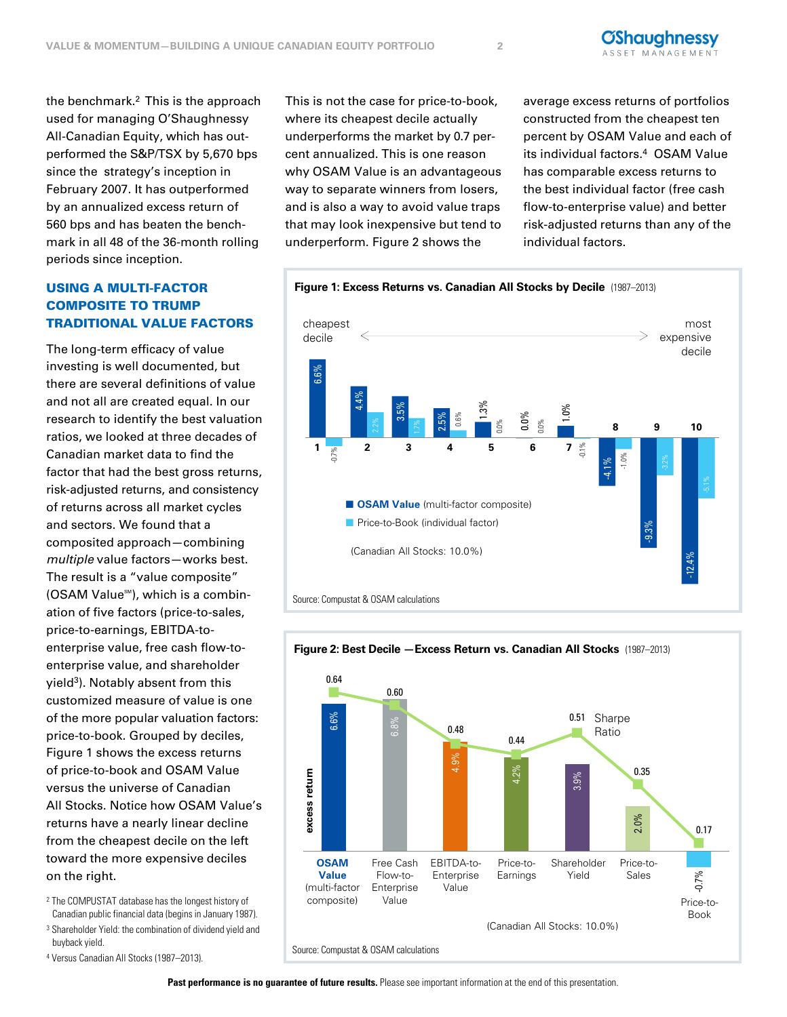the benchmark.2 This is the approach used for managing O'Shaughnessy All-Canadian Equity, which has outperformed the S&P/TSX by 5,670 bps since the strategy's inception in February 2007. It has outperformed by an annualized excess return of 560 bps and has beaten the benchmark in all 48 of the 36-month rolling periods since inception.

## USING A MULTI-FACTOR COMPOSITE TO TRUMP TRADITIONAL VALUE FACTORS

The long-term efficacy of value investing is well documented, but there are several definitions of value and not all are created equal. In our research to identify the best valuation ratios, we looked at three decades of Canadian market data to find the factor that had the best gross returns, risk-adjusted returns, and consistency and sectors. We found that a composited approach—combining multiple value factors—works best. The result is a "value composite" (OSAM Value<sup>SM</sup>), which is a combination of five factors (price-to-sales, price-to-earnings, EBITDA-toenterprise value, free cash flow-toenterprise value, and shareholder yield<sup>3</sup>). Notably absent from this customized measure of value is one of the more popular valuation factors: price-to-book. Grouped by deciles, Figure 1 shows the excess returns of price-to-book and OSAM Value versus the universe of Canadian All Stocks. Notice how OSAM Value's returns have a nearly linear decline from the cheapest decile on the left toward the more expensive deciles on the right.

- <sup>2</sup> The COMPUSTAT database has the longest history of Canadian public financial data (begins in January 1987).
- <sup>3</sup> Shareholder Yield: the combination of dividend yield and buyback yield.
- <sup>4</sup> Versus Canadian All Stocks (1987–2013). Source: Compustat & OSAM calculations

This is not the case for price-to-book, where its cheapest decile actually underperforms the market by 0.7 percent annualized. This is one reason why OSAM Value is an advantageous way to separate winners from losers, and is also a way to avoid value traps that may look inexpensive but tend to underperform. Figure 2 shows the

average excess returns of portfolios constructed from the cheapest ten percent by OSAM Value and each of its individual factors.<sup>4</sup> OSAM Value has comparable excess returns to the best individual factor (free cash flow-to-enterprise value) and better risk-adjusted returns than any of the individual factors.



### **Figure 2: Best Decile —Excess Return vs. Canadian All Stocks** (1987–2013)



#### Past performance is no guarantee of future results. Please see important information at the end of this presentation.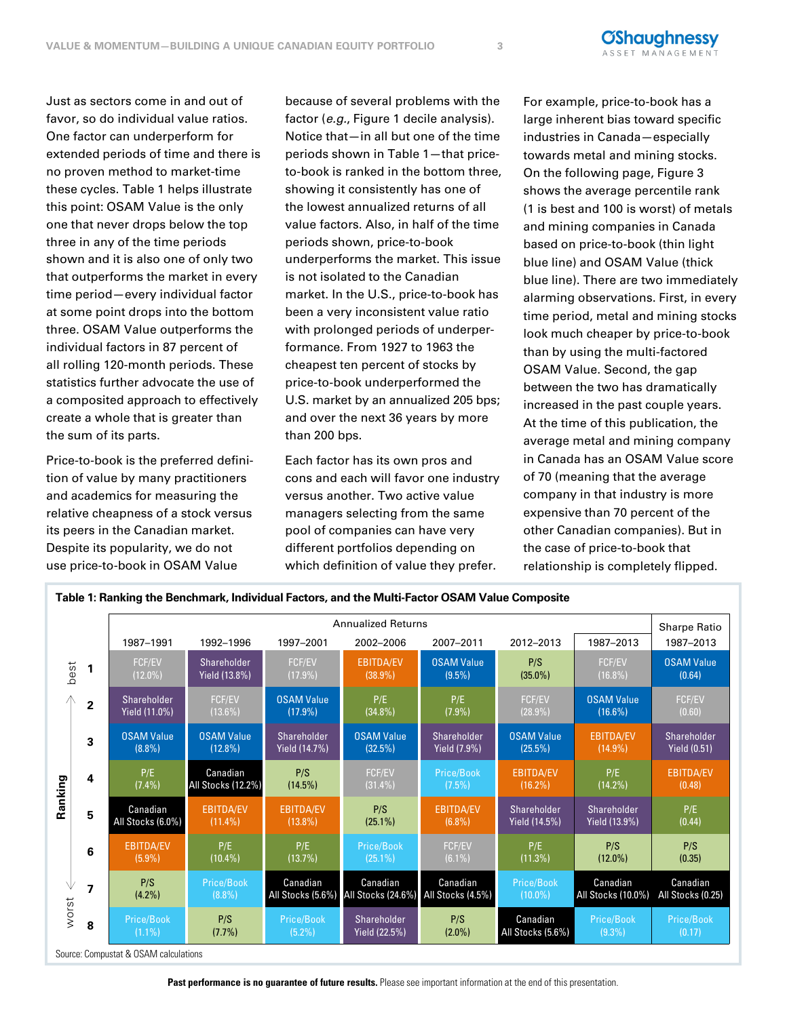Just as sectors come in and out of favor, so do individual value ratios. One factor can underperform for extended periods of time and there is no proven method to market-time these cycles. Table 1 helps illustrate this point: OSAM Value is the only one that never drops below the top three in any of the time periods shown and it is also one of only two that outperforms the market in every time period—every individual factor at some point drops into the bottom three. OSAM Value outperforms the individual factors in 87 percent of all rolling 120-month periods. These statistics further advocate the use of price-to-book underperformed a composited approach to effectively create a whole that is greater than the sum of its parts.

Price-to-book is the preferred definition of value by many practitioners and academics for measuring the relative cheapness of a stock versus its peers in the Canadian market. Despite its popularity, we do not use price-to-book in OSAM Value

because of several problems with the factor (e.g., Figure 1 decile analysis). Notice that—in all but one of the time periods shown in Table 1—that priceto-book is ranked in the bottom three, showing it consistently has one of the lowest annualized returns of all value factors. Also, in half of the time periods shown, price-to-book underperforms the market. This issue is not isolated to the Canadian market. In the U.S., price-to-book has been a very inconsistent value ratio with prolonged periods of underperformance. From 1927 to 1963 the cheapest ten percent of stocks by price to book underperformed the U.S. market by an annualized 205 bps; and over the next 36 years by more than 200 bps.

Each factor has its own pros and cons and each will favor one industry versus another. Two active value f a stock versus managers selecting from the same pool of companies can have very different portfolios depending on which definition of value they prefer.

**Table 1: Ranking the Benchmark, Individual Factors, and the Multi-Factor OSAM Value Composite**

For example, price-to-book has a large inherent bias toward specific industries in Canada—especially towards metal and mining stocks. On the following page, Figure 3 shows the average percentile rank (1 is best and 100 is worst) of metals and mining companies in Canada based on price-to-book (thin light blue line) and OSAM Value (thick blue line). There are two immediately alarming observations. First, in every time period, metal and mining stocks look much cheaper by price-to-book than by using the multi-factored OSAM Value. Second, the gap between the two has dramatically increased in the past couple years. At the time of this publication, the average metal and mining company in Canada has an OSAM Value score of 70 (meaning that the average company in that industry is more expensive than 70 percent of the other Canadian companies). But in the case of price-to-book that relationship is completely flipped.

|                       |                | <b>Annualized Returns</b>      |                                 |                                 |                                |                                |                                |                                 |                                    |
|-----------------------|----------------|--------------------------------|---------------------------------|---------------------------------|--------------------------------|--------------------------------|--------------------------------|---------------------------------|------------------------------------|
|                       |                | 1987-1991                      | 1992-1996                       | 1997-2001                       | 2002-2006                      | 2007-2011                      | 2012-2013                      | 1987-2013                       | 1987-2013                          |
| best                  | 1              | FCF/EV<br>$(12.0\%)$           | Shareholder<br>Yield (13.8%)    | FCF/EV<br>$(17.9\%)$            | <b>EBITDA/EV</b><br>$(38.9\%)$ | <b>OSAM Value</b><br>$(9.5\%)$ | P/S<br>$(35.0\%)$              | FCF/EV<br>$(16.8\%)$            | <b>OSAM Value</b><br>(0.64)        |
| Ж<br>Ranking<br>worst | $\mathbf{2}$   | Shareholder<br>Yield (11.0%)   | FCF/EV<br>$(13.6\%)$            | <b>OSAM Value</b><br>$(17.9\%)$ | P/E<br>$(34.8\%)$              | P/E<br>$(7.9\%)$               | FCF/EV<br>$(28.9\%)$           | <b>OSAM Value</b><br>$(16.6\%)$ | <b>FCF/EV</b><br>(0.60)            |
|                       | 3              | <b>OSAM Value</b><br>$(8.8\%)$ | <b>OSAM Value</b><br>$(12.8\%)$ | Shareholder<br>Yield (14.7%)    | <b>OSAM Value</b><br>(32.5%)   | Shareholder<br>Yield (7.9%)    | <b>OSAM Value</b><br>(25.5%)   | <b>EBITDA/EV</b><br>$(14.9\%)$  | Shareholder<br><b>Yield (0.51)</b> |
|                       | 4              | P/E<br>$(7.4\%)$               | Canadian<br>All Stocks (12.2%)  | P/S<br>$(14.5\%)$               | <b>FCF/EV</b><br>$(31.4\%)$    | Price/Book<br>$(7.5\%)$        | <b>EBITDA/EV</b><br>$(16.2\%)$ | P/E<br>$(14.2\%)$               | <b>EBITDA/EV</b><br>(0.48)         |
|                       | 5              | Canadian<br>All Stocks (6.0%)  | <b>EBITDA/EV</b><br>$(11.4\%)$  | <b>EBITDA/EV</b><br>$(13.8\%)$  | P/S<br>$(25.1\%)$              | <b>EBITDA/EV</b><br>$(6.8\%)$  | Shareholder<br>Yield (14.5%)   | Shareholder<br>Yield (13.9%)    | P/E<br>(0.44)                      |
|                       | 6              | <b>EBITDA/EV</b><br>$(5.9\%)$  | P/E<br>$(10.4\%)$               | P/E<br>(13.7%)                  | Price/Book<br>$(25.1\%)$       | <b>FCF/EV</b><br>$(6.1\%)$     | P/E<br>(11.3%)                 | P/S<br>$(12.0\%)$               | P/S<br>(0.35)                      |
|                       | $\overline{z}$ | P/S<br>$(4.2\%)$               | Price/Book<br>$(8.8\%)$         | Canadian<br>All Stocks (5.6%)   | Canadian<br>All Stocks (24.6%) | Canadian<br>All Stocks (4.5%)  | Price/Book<br>$(10.0\%)$       | Canadian<br>All Stocks (10.0%)  | Canadian<br>All Stocks (0.25)      |
|                       | 8              | Price/Book<br>$(1.1\%)$        | P/S<br>(7.7%)                   | Price/Book<br>$(5.2\%)$         | Shareholder<br>Yield (22.5%)   | P/S<br>$(2.0\%)$               | Canadian<br>All Stocks (5.6%)  | Price/Book<br>$(9.3\%)$         | Price/Book<br>(0.17)               |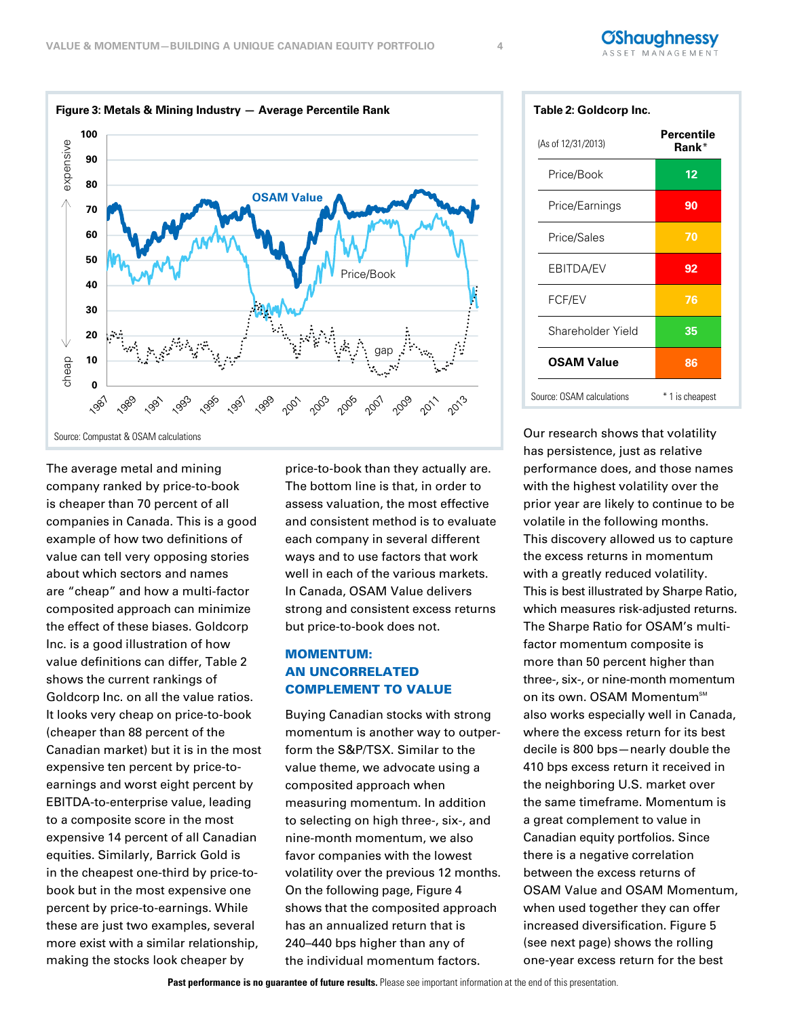

The average metal and mining company ranked by price-to-book is cheaper than 70 percent of all companies in Canada. This is a good example of how two definitions of value can tell very opposing stories about which sectors and names are "cheap" and how a multi-factor composited approach can minimize the effect of these biases. Goldcorp Inc. is a good illustration of how value definitions can differ, Table 2 shows the current rankings of Goldcorp Inc. on all the value ratios. It looks very cheap on price-to-book (cheaper than 88 percent of the Canadian market) but it is in the most expensive ten percent by price-toearnings and worst eight percent by EBITDA-to-enterprise value, leading to a composite score in the most expensive 14 percent of all Canadian equities. Similarly, Barrick Gold is in the cheapest one-third by price-tobook but in the most expensive one book but in the most expensive percent by price-to-earnings. While these are just two examples, several more exist with a similar relationship, making the stocks look cheaper by

price-to-book than they actually are. The bottom line is that, in order to assess valuation, the most effective , and consistent method is to evaluate each company in several different ways and to use factors that work well in each of the various markets. In Canada, OSAM Value delivers strong and consistent excess returns but price-to-book does not.

## MOMENTUM: AN UNCORRELATED COMPLEMENT TO VALUE

Buying Canadian stocks with strong momentum is another way to outperform the S&P/TSX. Similar to the value theme, we advocate using a composited approach when measuring momentum. In addition to selecting on high three-, six-, and nine-month momentum, we also favor companies with the lowest volatility over the previous 12 months. On the following page, Figure 4 shows that the composited approach has an annualized return that is 240–440 bps higher than any of the individual momentum factors.

| Table 2: Goldcorp Inc.    |                     |  |  |  |  |
|---------------------------|---------------------|--|--|--|--|
| (As of 12/31/2013)        | Percentile<br>Rank* |  |  |  |  |
| Price/Book                | 12                  |  |  |  |  |
| Price/Earnings            | 90                  |  |  |  |  |
| Price/Sales               | 70                  |  |  |  |  |
| EBITDA/EV                 | 92                  |  |  |  |  |
| FCF/EV                    | 76                  |  |  |  |  |
| Shareholder Yield         | 35                  |  |  |  |  |
| <b>OSAM Value</b>         | 86                  |  |  |  |  |
| Source: OSAM calculations | 1 is cheapest       |  |  |  |  |

**ØShauahnessy** 

Our research shows that volatility has persistence, just as relative performance does, and those names with the highest volatility over the prior year are likely to continue to be volatile in the following months. This discovery allowed us to capture the excess returns in momentum with a greatly reduced volatility. This is best illustrated by Sharpe Ratio, which measures risk-adjusted returns. The Sharpe Ratio for OSAM's multifactor momentum composite is more than 50 percent higher than three-, six-, or nine-month momentum on its own. OSAM Momentum<sup>sM</sup> also works especially well in Canada, where the excess return for its best decile is 800 bps—nearly double the 410 bps excess return it received in the neighboring U.S. market over the same timeframe. Momentum is a great complement to value in Canadian equity portfolios. Since there is a negative correlation between the excess returns of OSAM Value and OSAM Momentum OSAM Value and OSAM Momentum, when used together they can offer increased diversification. Figure 5 (see next page) shows the rolling one-year excess return for the best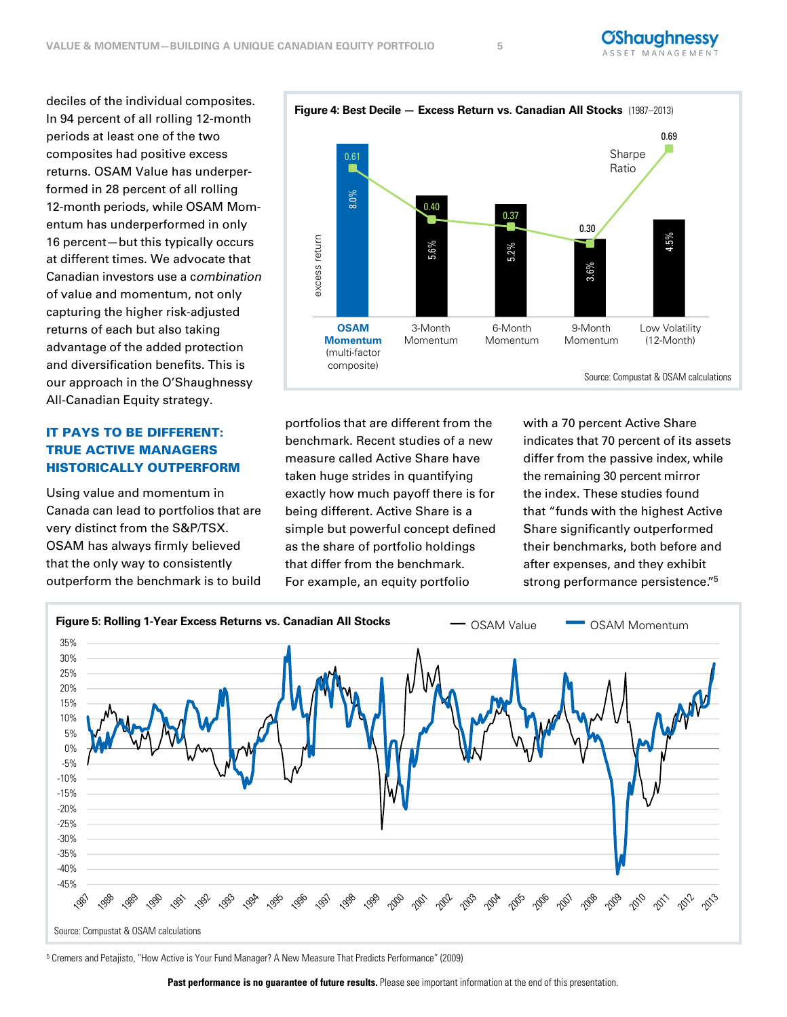In 94 percent of all rolling 12-month periods at least one of the two composites had positive excess returns. OSAM Value has underperformed in 28 percent of all rolling 12-month periods, while OSAM Momentum has underperformed in only 16 percent—but this typically occurs at different times. We advocate that Canadian investors use a combination of value and momentum, not only capturing the higher risk-adjusted returns of each but also taking advantage of the added protection and diversification benefits. This is our approach in the O'Shaughnessy Source: Comp<br>All-Canadian Equity strategy.

## IT PAYS TO BE DIFFERENT: TRUE ACTIVE MANAGERS HISTORICALLY OUTPERFORM

Using value and momentum in Canada can lead to portfolios that are very distinct from the S&P/TSX. OSAM has always firmly believed that the only way to consistently outperform the benchmark is to build

portfolios that are different from the benchmark. Recent studies of a new measure called Active Share have taken huge strides in quantifying exactly how much payoff there is for being different. Active Share is a simple but powerful concept defined as the share of portfolio holdings that differ from the benchmark. For example, an equity portfolio

with a 70 percent Active Share indicates that 70 percent of its assets differ from the passive index, while the remaining 30 percent mirror the index. These studies found that "funds with the highest Active Share significantly outperformed their benchmarks, both before and after expenses, and they exhibit strong performance persistence."<sup>5</sup>



8.0% .6% 2% 5.2 4.5% ገ.61 0.40 0.37 0.30 0.69 excess return Sharpe Ratio Source: Compustat & OSAM calculations 5. 3.6% excess re **OSAM Momentum**  (multi-factor composite) 3-Month Momentum 6-Month Momentum 9-Month Momentum Low Volatility (12-Month)

# **Figure 4: Best Decile — Excess Return vs. Canadian All Stocks** (1987–2013) **Figure 4: Best Decile — Excess Return vs. Canadian All Stocks** (1987–2013)

<sup>5</sup> Cremers and Petajisto, "How Active is Your Fund Manager? A New Measure That Predicts Performance" (2009)

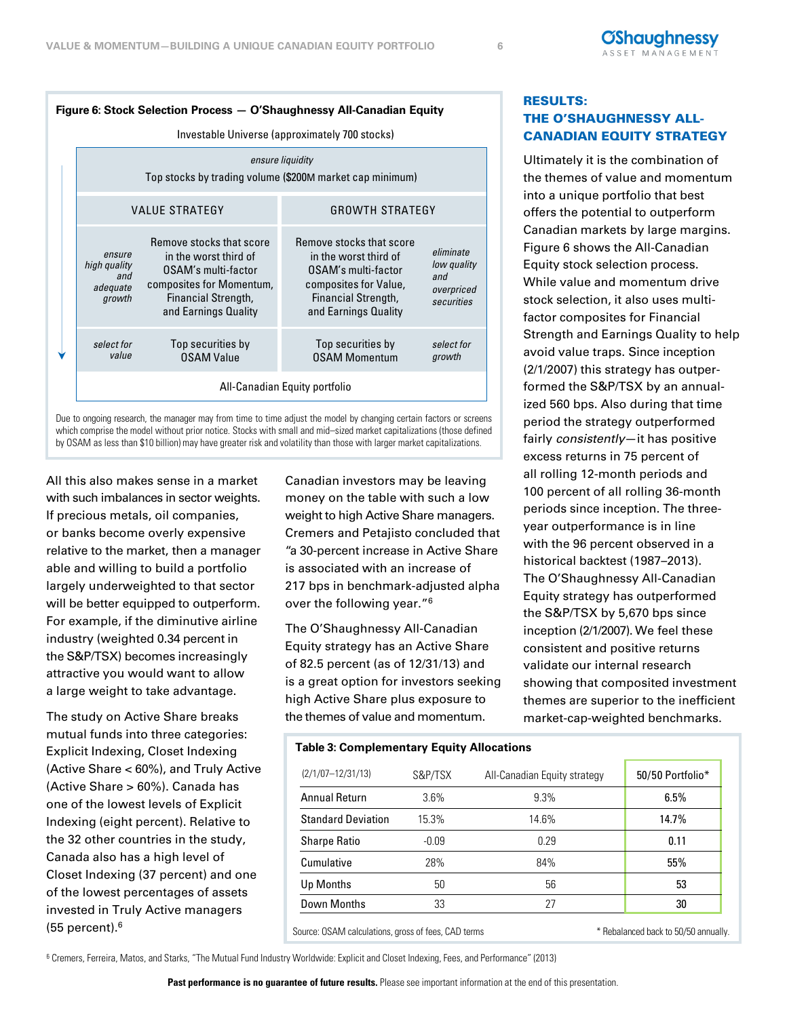

Due to ongoing research, the manager may from time to time adjust the model by changing certain factors or screens which comprise the model without prior notice. Stocks with small and mid–sized market capitalizations (those defined by OSAM as less than \$10 billion) may have greater risk and volatility than those with larger market capitalizations.

All this also makes sense in a market with such imbalances in sector weights. If precious metals, oil companies, or banks become overly expensive relative to the market, then a manager able and willing to build a portfolio largely underweighted to that sector will be better equipped to outperform. For example, if the diminutive airline industry (weighted 0.34 percent in the S&P/TSX) becomes increasingly attractive you would want to allow a large weight to take advantage.

The study on Active Share breaks mutual funds into three categories: Explicit Indexing, Closet Indexing **Table 3: Complementary Equity Allocations** (Active Share < 60%), and Truly Active (Active Share > 60%). Canada has one of the lowest levels of Explicit Indexing (eight percent). Relative to the 32 other countries in the study, Canada also has a high level of Closet Indexing (37 percent) and one of the lowest percentages of assets invested in Truly Active managers  $(55$  percent). $6$ 

money on the table with such a low the periods since inception. The three-<br>periods since inception. The three-Canadian investors may be leaving weight to high Active Share managers. Cremers and Petajisto concluded that "a 30-percent increase in Active Share is associated with an increase of 217 bps in benchmark-adjusted alpha over the following year."6

The O'Shaughnessy All-Canadian Equity strategy has an Active Share of 82.5 percent (as of 12/31/13) and is a great option for investors seeking high Active Share plus exposure to the themes of value and momentum.

## RESULTS: THE O'SHAUGHNESSY ALL-CANADIAN EQUITY STRATEGY

**íShauahnessv** SET MANAGEME

Ultimately it is the combination of the themes of value and momentum into a unique portfolio that best offers the potential to outperform Canadian markets by large margins. Figure 6 shows the All-Canadian Equity stock selection process. While value and momentum drive stock selection, it also uses multifactor composites for Financial Strength and Earnings Quality to help avoid value traps. Since inception (2/1/2007) this strategy has outperformed the S&P/TSX by an annualized 560 bps. Also during that time period the strategy outperformed fairly consistently-it has positive excess returns in 75 percent of all rolling 12-month periods and 100 percent of all rolling 36-month year outperformance is in line with the 96 percent observed in a historical backtest (1987–2013). The O'Shaughnessy All-Canadian Equity strategy has outperformed the S&P/TSX by 5,670 bps since inception (2/1/2007). We feel these consistent and positive returns validate our internal research showing that composited investment themes are superior to the inefficient market-cap-weighted benchmarks.

| $(2/1/07 - 12/31/13)$     | S&P/TSX | All-Canadian Equity strategy | 50/50 Portfolio* |  |
|---------------------------|---------|------------------------------|------------------|--|
| Annual Return             | $3.6\%$ | 9.3%                         | 6.5%             |  |
| <b>Standard Deviation</b> | 15.3%   | 14.6%                        | 14.7%            |  |
| <b>Sharpe Ratio</b>       | $-0.09$ | 0.29                         | 0.11             |  |
| Cumulative                | 28%     | 84%                          | 55%              |  |
| Up Months                 | 50      | 56                           | 53               |  |
| Down Months               | 33      | 27                           | 30               |  |

Source: OSAM calculations, gross of fees, CAD terms \*\* Rebalanced back to 50/50 annually.

<sup>6</sup> Cremers, Ferreira, Matos, and Starks, "The Mutual Fund Industry Worldwide: Explicit and Closet Indexing, Fees, and Performance" (2013)

Past performance is no guarantee of future results. Please see important information at the end of this presentation.